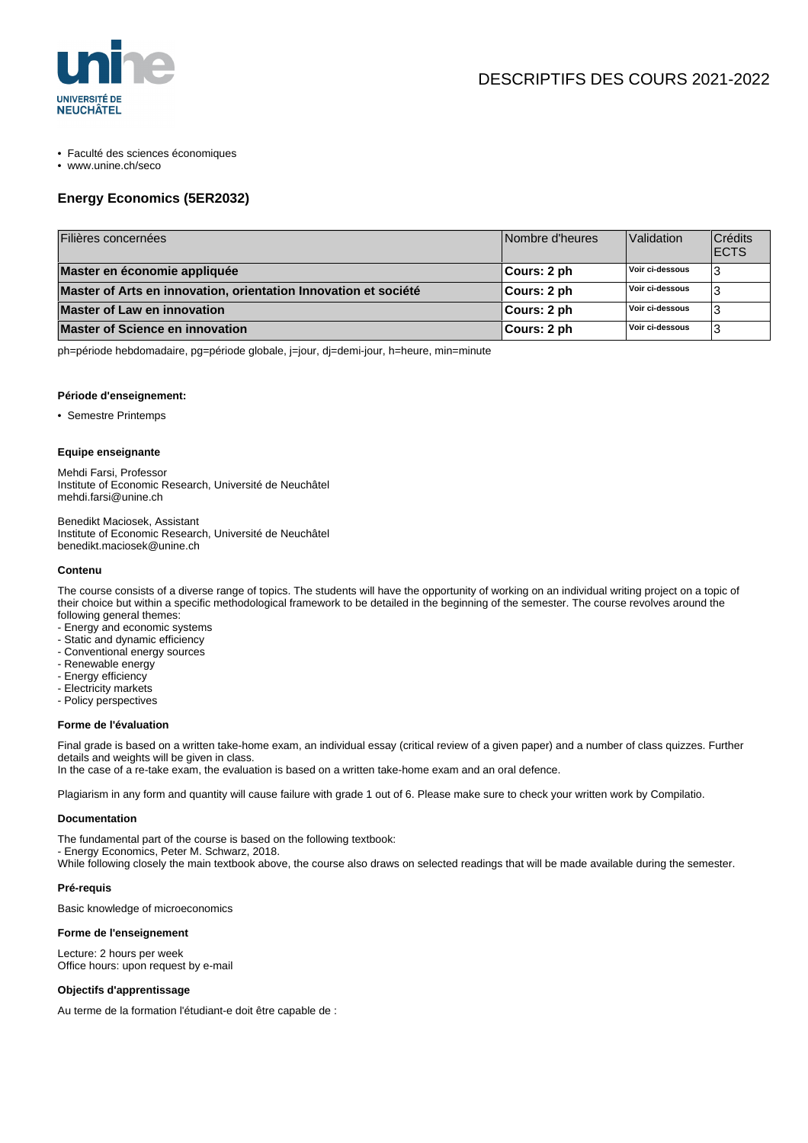

- Faculté des sciences économiques
- www.unine.ch/seco

## **Energy Economics (5ER2032)**

| Filières concernées                                             | Nombre d'heures | Validation      | Crédits<br><b>ECTS</b> |
|-----------------------------------------------------------------|-----------------|-----------------|------------------------|
| Master en économie appliquée                                    | ∣Cours: 2 ph    | Voir ci-dessous |                        |
| Master of Arts en innovation, orientation Innovation et société | ∣Cours: 2 ph    | Voir ci-dessous |                        |
| <b>Master of Law en innovation</b>                              | ∣Cours: 2 ph    | Voir ci-dessous |                        |
| <b>Master of Science en innovation</b>                          | ∣Cours: 2 ph    | Voir ci-dessous |                        |

ph=période hebdomadaire, pg=période globale, j=jour, dj=demi-jour, h=heure, min=minute

#### **Période d'enseignement:**

• Semestre Printemps

#### **Equipe enseignante**

Mehdi Farsi, Professor Institute of Economic Research, Université de Neuchâtel mehdi.farsi@unine.ch

Benedikt Maciosek, Assistant Institute of Economic Research, Université de Neuchâtel benedikt.maciosek@unine.ch

#### **Contenu**

The course consists of a diverse range of topics. The students will have the opportunity of working on an individual writing project on a topic of their choice but within a specific methodological framework to be detailed in the beginning of the semester. The course revolves around the following general themes:

- Energy and economic systems
- Static and dynamic efficiency
- Conventional energy sources
- Renewable energy
- Energy efficiency
- Electricity markets
- Policy perspectives

#### **Forme de l'évaluation**

Final grade is based on a written take-home exam, an individual essay (critical review of a given paper) and a number of class quizzes. Further details and weights will be given in class.

In the case of a re-take exam, the evaluation is based on a written take-home exam and an oral defence.

Plagiarism in any form and quantity will cause failure with grade 1 out of 6. Please make sure to check your written work by Compilatio.

#### **Documentation**

The fundamental part of the course is based on the following textbook:

- Energy Economics, Peter M. Schwarz, 2018.

While following closely the main textbook above, the course also draws on selected readings that will be made available during the semester.

#### **Pré-requis**

Basic knowledge of microeconomics

#### **Forme de l'enseignement**

Lecture: 2 hours per week Office hours: upon request by e-mail

### **Objectifs d'apprentissage**

Au terme de la formation l'étudiant-e doit être capable de :